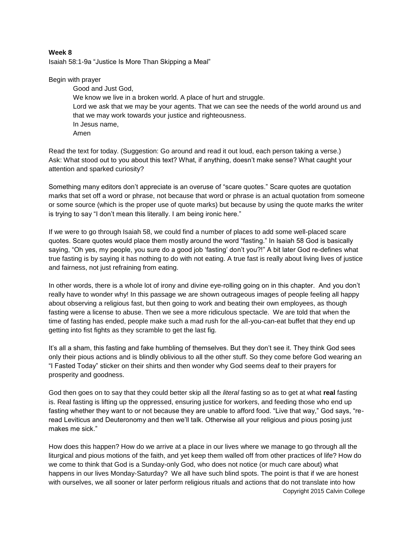## **Week 8**

Isaiah 58:1-9a "Justice Is More Than Skipping a Meal"

Begin with prayer

Good and Just God, We know we live in a broken world. A place of hurt and struggle. Lord we ask that we may be your agents. That we can see the needs of the world around us and that we may work towards your justice and righteousness. In Jesus name, Amen

Read the text for today. (Suggestion: Go around and read it out loud, each person taking a verse.) Ask: What stood out to you about this text? What, if anything, doesn't make sense? What caught your attention and sparked curiosity?

Something many editors don't appreciate is an overuse of "scare quotes." Scare quotes are quotation marks that set off a word or phrase, not because that word or phrase is an actual quotation from someone or some source (which is the proper use of quote marks) but because by using the quote marks the writer is trying to say "I don't mean this literally. I am being ironic here."

If we were to go through Isaiah 58, we could find a number of places to add some well-placed scare quotes. Scare quotes would place them mostly around the word "fasting." In Isaiah 58 God is basically saying, "Oh yes, my people, you sure do a good job 'fasting' don't you?!" A bit later God re-defines what true fasting is by saying it has nothing to do with not eating. A true fast is really about living lives of justice and fairness, not just refraining from eating.

In other words, there is a whole lot of irony and divine eye-rolling going on in this chapter. And you don't really have to wonder why! In this passage we are shown outrageous images of people feeling all happy about observing a religious fast, but then going to work and beating their own employees, as though fasting were a license to abuse. Then we see a more ridiculous spectacle. We are told that when the time of fasting has ended, people make such a mad rush for the all-you-can-eat buffet that they end up getting into fist fights as they scramble to get the last fig.

It's all a sham, this fasting and fake humbling of themselves. But they don't see it. They think God sees only their pious actions and is blindly oblivious to all the other stuff. So they come before God wearing an "I Fasted Today" sticker on their shirts and then wonder why God seems deaf to their prayers for prosperity and goodness.

God then goes on to say that they could better skip all the *literal* fasting so as to get at what **real** fasting is. Real fasting is lifting up the oppressed, ensuring justice for workers, and feeding those who end up fasting whether they want to or not because they are unable to afford food. "Live that way," God says, "reread Leviticus and Deuteronomy and then we'll talk. Otherwise all your religious and pious posing just makes me sick."

Copyright 2015 Calvin College How does this happen? How do we arrive at a place in our lives where we manage to go through all the liturgical and pious motions of the faith, and yet keep them walled off from other practices of life? How do we come to think that God is a Sunday-only God, who does not notice (or much care about) what happens in our lives Monday-Saturday? We all have such blind spots. The point is that if we are honest with ourselves, we all sooner or later perform religious rituals and actions that do not translate into how